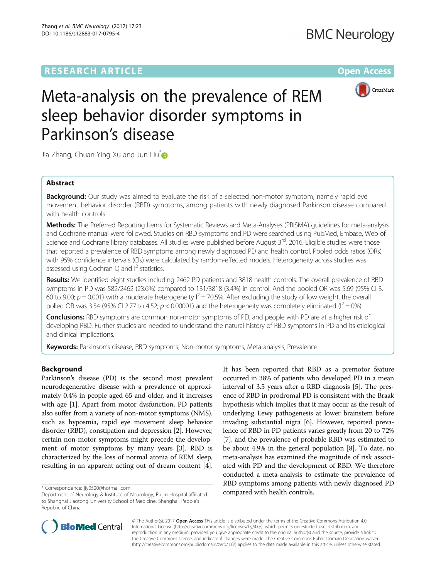# **RESEARCH ARTICLE External Structure Community Community Community Community Community Community Community Community**



# Meta-analysis on the prevalence of REM sleep behavior disorder symptoms in Parkinson's disease

Jia Zhang, Chuan-Ying Xu and Jun Liu<sup>[\\*](http://orcid.org/0000-0001-8300-8646)</sup>

# Abstract

**Background:** Our study was aimed to evaluate the risk of a selected non-motor symptom, namely rapid eye movement behavior disorder (RBD) symptoms, among patients with newly diagnosed Parkinson disease compared with health controls.

Methods: The Preferred Reporting Items for Systematic Reviews and Meta-Analyses (PRISMA) guidelines for meta-analysis and Cochrane manual were followed. Studies on RBD symptoms and PD were searched using PubMed, Embase, Web of Science and Cochrane library databases. All studies were published before August 3<sup>rd</sup>, 2016. Eligible studies were those that reported a prevalence of RBD symptoms among newly diagnosed PD and health control. Pooled odds ratios (ORs) with 95% confidence intervals (CIs) were calculated by random-effected models. Heterogeneity across studies was assessed using Cochran Q and  $I^2$  statistics.

Results: We identified eight studies including 2462 PD patients and 3818 health controls. The overall prevalence of RBD symptoms in PD was 582/2462 (23.6%) compared to 131/3818 (3.4%) in control. And the pooled OR was 5.69 (95% CI 3. 60 to 9.00;  $p = 0.001$ ) with a moderate heterogeneity  $I^2 = 70.5$ %. After excluding the study of low weight, the overall polled OR was 3.54 (95% CI 2.77 to 4.52;  $p < 0.00001$ ) and the heterogeneity was completely eliminated ( $I^2 = 0$ %).

Conclusions: RBD symptoms are common non-motor symptoms of PD, and people with PD are at a higher risk of developing RBD. Further studies are needed to understand the natural history of RBD symptoms in PD and its etiological and clinical implications.

Keywords: Parkinson's disease, RBD symptoms, Non-motor symptoms, Meta-analysis, Prevalence

# Background

Parkinson's disease (PD) is the second most prevalent neurodegenerative disease with a prevalence of approximately 0.4% in people aged 65 and older, and it increases with age [\[1\]](#page-4-0). Apart from motor dysfunction, PD patients also suffer from a variety of non-motor symptoms (NMS), such as hyposmia, rapid eye movement sleep behavior disorder (RBD), constipation and depression [\[2](#page-4-0)]. However, certain non-motor symptoms might precede the development of motor symptoms by many years [[3](#page-4-0)]. RBD is characterized by the loss of normal atonia of REM sleep, resulting in an apparent acting out of dream content [[4](#page-4-0)].

It has been reported that RBD as a premotor feature occurred in 38% of patients who developed PD in a mean interval of 3.5 years after a RBD diagnosis [\[5\]](#page-4-0). The presence of RBD in prodromal PD is consistent with the Braak hypothesis which implies that it may occur as the result of underlying Lewy pathogenesis at lower brainstem before invading substantial nigra [\[6](#page-4-0)]. However, reported prevalence of RBD in PD patients varies greatly from 20 to 72% [[7\]](#page-4-0), and the prevalence of probable RBD was estimated to be about 4.9% in the general population [[8\]](#page-4-0). To date, no meta-analysis has examined the magnitude of risk associated with PD and the development of RBD. We therefore conducted a meta-analysis to estimate the prevalence of RBD symptoms among patients with newly diagnosed PD



© The Author(s). 2017 **Open Access** This article is distributed under the terms of the Creative Commons Attribution 4.0 International License [\(http://creativecommons.org/licenses/by/4.0/](http://creativecommons.org/licenses/by/4.0/)), which permits unrestricted use, distribution, and reproduction in any medium, provided you give appropriate credit to the original author(s) and the source, provide a link to the Creative Commons license, and indicate if changes were made. The Creative Commons Public Domain Dedication waiver [\(http://creativecommons.org/publicdomain/zero/1.0/](http://creativecommons.org/publicdomain/zero/1.0/)) applies to the data made available in this article, unless otherwise stated.

<sup>\*</sup> Correspondence: [jly0520@hotmail.com](mailto:jly0520@hotmail.com)<br>Department of Neurology & Institute of Neurology, Ruijin Hospital affiliated **compared with health controls.** to Shanghai Jiaotong University School of Medicine, Shanghai, People's Republic of China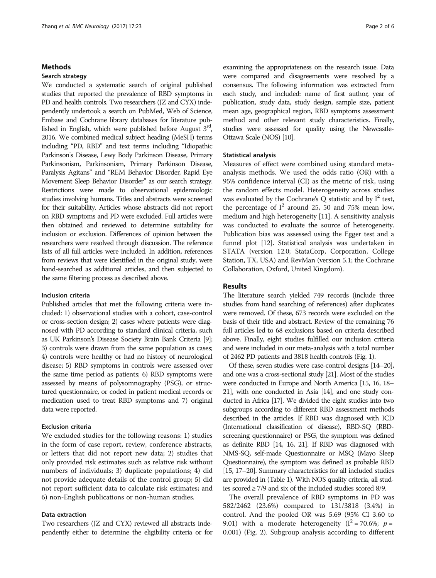# Methods

# Search strategy

We conducted a systematic search of original published studies that reported the prevalence of RBD symptoms in PD and health controls. Two researchers (JZ and CYX) independently undertook a search on PubMed, Web of Science, Embase and Cochrane library databases for literature published in English, which were published before August  $3<sup>rd</sup>$ , 2016. We combined medical subject heading (MeSH) terms including "PD, RBD" and text terms including "Idiopathic Parkinson's Disease, Lewy Body Parkinson Disease, Primary Parkinsonism, Parkinsonism, Primary Parkinson Disease, Paralysis Agitans" and "REM Behavior Disorder, Rapid Eye Movement Sleep Behavior Disorder" as our search strategy. Restrictions were made to observational epidemiologic studies involving humans. Titles and abstracts were screened for their suitability. Articles whose abstracts did not report on RBD symptoms and PD were excluded. Full articles were then obtained and reviewed to determine suitability for inclusion or exclusion. Differences of opinion between the researchers were resolved through discussion. The reference lists of all full articles were included. In addition, references from reviews that were identified in the original study, were hand-searched as additional articles, and then subjected to the same filtering process as described above.

# Inclusion criteria

Published articles that met the following criteria were included: 1) observational studies with a cohort, case-control or cross-section design; 2) cases where patients were diagnosed with PD according to standard clinical criteria, such as UK Parkinson's Disease Society Brain Bank Criteria [[9](#page-4-0)]; 3) controls were drawn from the same population as cases; 4) controls were healthy or had no history of neurological disease; 5) RBD symptoms in controls were assessed over the same time period as patients; 6) RBD symptoms were assessed by means of polysomnography (PSG), or structured questionnaire, or coded in patient medical records or medication used to treat RBD symptoms and 7) original data were reported.

# Exclusion criteria

We excluded studies for the following reasons: 1) studies in the form of case report, review, conference abstracts, or letters that did not report new data; 2) studies that only provided risk estimates such as relative risk without numbers of individuals; 3) duplicate populations; 4) did not provide adequate details of the control group; 5) did not report sufficient data to calculate risk estimates; and 6) non-English publications or non-human studies.

# Data extraction

Two researchers (JZ and CYX) reviewed all abstracts independently either to determine the eligibility criteria or for

examining the appropriateness on the research issue. Data were compared and disagreements were resolved by a consensus. The following information was extracted from each study, and included: name of first author, year of publication, study data, study design, sample size, patient mean age, geographical region, RBD symptoms assessment method and other relevant study characteristics. Finally, studies were assessed for quality using the Newcastle-Ottawa Scale (NOS) [[10\]](#page-4-0).

# Statistical analysis

Measures of effect were combined using standard metaanalysis methods. We used the odds ratio (OR) with a 95% confidence interval (CI) as the metric of risk, using the random effects model. Heterogeneity across studies was evaluated by the Cochrane's Q statistic and by  $I^2$  test, the percentage of  $I^2$  around 25, 50 and 75% mean low, medium and high heterogeneity [[11](#page-4-0)]. A sensitivity analysis was conducted to evaluate the source of heterogeneity. Publication bias was assessed using the Egger test and a funnel plot [[12](#page-4-0)]. Statistical analysis was undertaken in STATA (version 12.0; StataCorp, Corporation, College Station, TX, USA) and RevMan (version 5.1; the Cochrane Collaboration, Oxford, United Kingdom).

# Results

The literature search yielded 749 records (include three studies from hand searching of references) after duplicates were removed. Of these, 673 records were excluded on the basis of their title and abstract. Review of the remaining 76 full articles led to 68 exclusions based on criteria described above. Finally, eight studies fulfilled our inclusion criteria and were included in our meta-analysis with a total number of 2462 PD patients and 3818 health controls (Fig. [1\)](#page-2-0).

Of these, seven studies were case-control designs [\[14](#page-4-0)–[20\]](#page-5-0), and one was a cross-sectional study [\[21\]](#page-5-0). Most of the studies were conducted in Europe and North America [\[15, 16](#page-4-0), [18](#page-4-0)– [21](#page-5-0)], with one conducted in Asia [[14\]](#page-4-0), and one study conducted in Africa [\[17](#page-4-0)]. We divided the eight studies into two subgroups according to different RBD assessment methods described in the articles. If RBD was diagnosed with ICD (International classification of disease), RBD-SQ (RBDscreening questionnaire) or PSG, the symptom was defined as definite RBD [\[14](#page-4-0), [16](#page-4-0), [21\]](#page-5-0). If RBD was diagnosed with NMS-SQ, self-made Questionnaire or MSQ (Mayo Sleep Questionnaire), the symptom was defined as probable RBD [[15, 17](#page-4-0)–[20\]](#page-5-0). Summary characteristics for all included studies are provided in (Table [1](#page-2-0)). With NOS quality criteria, all studies scored  $\geq$  7/9 and six of the included studies scored 8/9.

The overall prevalence of RBD symptoms in PD was 582/2462 (23.6%) compared to 131/3818 (3.4%) in control. And the pooled OR was 5.69 (95% CI 3.60 to 9.01) with a moderate heterogeneity ( $I^2 = 70.6\%$ ;  $p =$ 0.001) (Fig. [2](#page-3-0)). Subgroup analysis according to different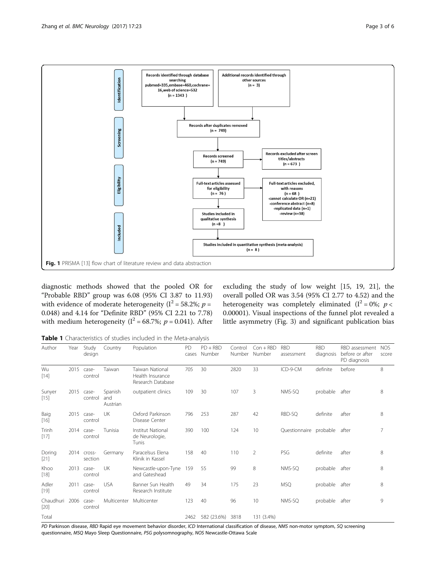

<span id="page-2-0"></span>

diagnostic methods showed that the pooled OR for "Probable RBD" group was 6.08 (95% CI 3.87 to 11.93) with evidence of moderate heterogeneity ( $I^2 = 58.2\%$ ;  $p =$ 0.048) and 4.14 for "Definite RBD" (95% CI 2.21 to 7.78) with medium heterogeneity ( $I^2 = 68.7\%$ ;  $p = 0.041$ ). After

excluding the study of low weight [\[15](#page-4-0), [19](#page-4-0), [21](#page-5-0)], the overall polled OR was 3.54 (95% CI 2.77 to 4.52) and the heterogeneity was completely eliminated  $(I^2 = 0\%; p <$ 0.00001). Visual inspections of the funnel plot revealed a little asymmetry (Fig. [3\)](#page-3-0) and significant publication bias

Table 1 Characteristics of studies included in the Meta-analysis

| Author            | Year | Study<br>design   | Country                    | Population                                               | P <sub>D</sub><br>cases | $PD + RBD$<br>Number | Control<br>Number | $Con + RBD$<br>Number | <b>RBD</b><br>assessment | <b>RBD</b><br>diagnosis | RBD assessment<br>before or after<br>PD diagnosis | <b>NOS</b><br>score |
|-------------------|------|-------------------|----------------------------|----------------------------------------------------------|-------------------------|----------------------|-------------------|-----------------------|--------------------------|-------------------------|---------------------------------------------------|---------------------|
| Wu<br>[14]        | 2015 | case-<br>control  | Taiwan                     | Taiwan National<br>Health Insurance<br>Research Database | 705                     | 30                   | 2820              | 33                    | ICD-9-CM                 | definite                | before                                            | 8                   |
| Sunyer<br>$[15]$  | 2015 | case-<br>control  | Spanish<br>and<br>Austrian | outpatient clinics                                       | 109                     | 30                   | 107               | 3                     | NMS-SQ                   | probable after          |                                                   | 8                   |
| Baig<br>$[16]$    | 2015 | case-<br>control  | UK                         | Oxford Parkinson<br>Disease Center                       | 796                     | 253                  | 287               | 42                    | RBD-SQ                   | definite                | after                                             | 8                   |
| Trinh<br>$[17]$   | 2014 | case-<br>control  | Tunisia                    | Institut National<br>de Neurologie,<br>Tunis             | 390                     | 100                  | 124               | 10                    | Questionnaire probable   |                         | after                                             | 7                   |
| Doring<br>$[21]$  | 2014 | Cross-<br>section | Germany                    | Paracelsus Flena<br>Klinik in Kassel                     | 158                     | 40                   | 110               | $\overline{2}$        | PSG                      | definite                | after                                             | 8                   |
| Khoo<br>$[18]$    | 2013 | case-<br>control  | UK                         | Newcastle-upon-Tyne<br>and Gateshead                     | 159                     | 55                   | 99                | 8                     | NMS-SQ                   | probable                | after                                             | 8                   |
| Adler<br>$[19]$   | 2011 | case-<br>control  | <b>USA</b>                 | Banner Sun Health<br>Research Institute                  | 49                      | 34                   | 175               | 23                    | <b>MSQ</b>               | probable after          |                                                   | 8                   |
| Chaudhuri<br>[20] | 2006 | case-<br>control  | Multicenter                | Multicenter                                              | 123                     | 40                   | 96                | 10                    | NMS-SQ                   | probable after          |                                                   | 9                   |
| Total             |      |                   |                            |                                                          | 2462                    | 582 (23.6%)          | 3818              | 131 (3.4%)            |                          |                         |                                                   |                     |

PD Parkinson disease, RBD Rapid eye movement behavior disorder, ICD International classification of disease, NMS non-motor symptom, SQ screening questionnaire, MSQ Mayo Sleep Questionnaire, PSG polysomnography, NOS Newcastle-Ottawa Scale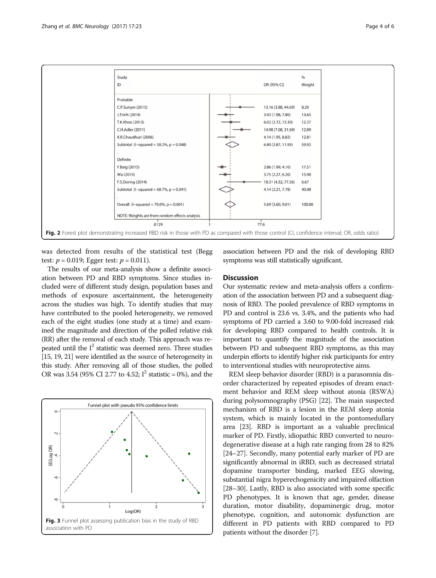<span id="page-3-0"></span>

was detected from results of the statistical test (Begg test:  $p = 0.019$ ; Egger test:  $p = 0.011$ ).

The results of our meta-analysis show a definite association between PD and RBD symptoms. Since studies included were of different study design, population bases and methods of exposure ascertainment, the heterogeneity across the studies was high. To identify studies that may have contributed to the pooled heterogeneity, we removed each of the eight studies (one study at a time) and examined the magnitude and direction of the polled relative risk (RR) after the removal of each study. This approach was repeated until the  $I^2$  statistic was deemed zero. Three studies [[15](#page-4-0), [19](#page-4-0), [21](#page-5-0)] were identified as the source of heterogeneity in this study. After removing all of those studies, the polled OR was 3.54 (95% CI 2.77 to 4.52;  $I^2$  statistic = 0%), and the



association between PD and the risk of developing RBD symptoms was still statistically significant.

## **Discussion**

Our systematic review and meta-analysis offers a confirmation of the association between PD and a subsequent diagnosis of RBD. The pooled prevalence of RBD symptoms in PD and control is 23.6 vs. 3.4%, and the patients who had symptoms of PD carried a 3.60 to 9.00-fold increased risk for developing RBD compared to health controls. It is important to quantify the magnitude of the association between PD and subsequent RBD symptoms, as this may underpin efforts to identify higher risk participants for entry to interventional studies with neuroprotective aims.

REM sleep behavior disorder (RBD) is a parasomnia disorder characterized by repeated episodes of dream enactment behavior and REM sleep without atonia (RSWA) during polysomnography (PSG) [[22](#page-5-0)]. The main suspected mechanism of RBD is a lesion in the REM sleep atonia system, which is mainly located in the pontomedullary area [\[23\]](#page-5-0). RBD is important as a valuable preclinical marker of PD. Firstly, idiopathic RBD converted to neurodegenerative disease at a high rate ranging from 28 to 82% [[24](#page-5-0)–[27\]](#page-5-0). Secondly, many potential early marker of PD are significantly abnormal in iRBD, such as decreased striatal dopamine transporter binding, marked EEG slowing, substantial nigra hyperechogenicity and impaired olfaction [[28](#page-5-0)–[30\]](#page-5-0). Lastly, RBD is also associated with some specific PD phenotypes. It is known that age, gender, disease duration, motor disability, dopaminergic drug, motor phenotype, cognition, and autonomic dysfunction are different in PD patients with RBD compared to PD patients without the disorder [\[7](#page-4-0)].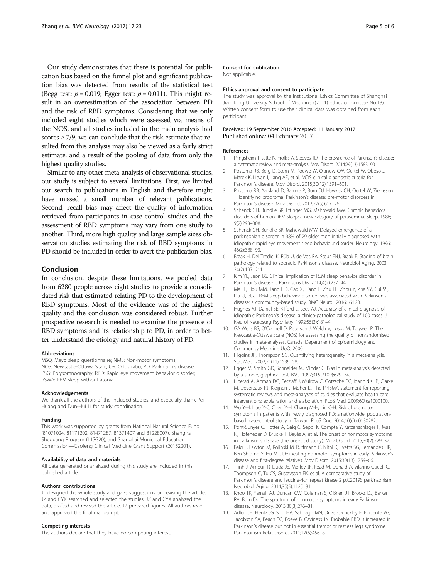<span id="page-4-0"></span>Our study demonstrates that there is potential for publication bias based on the funnel plot and significant publication bias was detected from results of the statistical test (Begg test:  $p = 0.019$ ; Egger test:  $p = 0.011$ ). This might result in an overestimation of the association between PD and the risk of RBD symptoms. Considering that we only included eight studies which were assessed via means of the NOS, and all studies included in the main analysis had scores  $\geq$  7/9, we can conclude that the risk estimate that resulted from this analysis may also be viewed as a fairly strict estimate, and a result of the pooling of data from only the highest quality studies.

Similar to any other meta-analysis of observational studies, our study is subject to several limitations. First, we limited our search to publications in English and therefore might have missed a small number of relevant publications. Second, recall bias may affect the quality of information retrieved from participants in case-control studies and the assessment of RBD symptoms may vary from one study to another. Third, more high quality and large sample sizes observation studies estimating the risk of RBD symptoms in PD should be included in order to avert the publication bias.

# Conclusion

In conclusion, despite these limitations, we pooled data from 6280 people across eight studies to provide a consolidated risk that estimated relating PD to the development of RBD symptoms. Most of the evidence was of the highest quality and the conclusion was considered robust. Further prospective research is needed to examine the presence of RBD symptoms and its relationship to PD, in order to better understand the etiology and natural history of PD.

#### Abbreviations

MSQ: Mayo sleep questionnaire; NMS: Non-motor symptoms; NOS: Newcastle-Ottawa Scale; OR: Odds ratio; PD: Parkinson's disease; PSG: Polysomnography; RBD: Rapid eye movement behavior disorder; RSWA: REM sleep without atonia

#### Acknowledgements

We thank all the authors of the included studies, and especially thank Pei Huang and Dun-Hui Li for study coordination.

#### Funding

This work was supported by grants from National Natural Science Fund (81071024, 81171202, 81471287, 81371407 and 81228007), Shanghai Shuguang Program (11SG20), and Shanghai Municipal Education Commission—Gaofeng Clinical Medicine Grant Support (20152201).

#### Availability of data and materials

All data generated or analyzed during this study are included in this published article.

#### Authors' contributions

JL designed the whole study and gave suggestions on revising the article. JZ and CYX searched and selected the studies, JZ and CYX analyzed the data, drafted and revised the article. JZ prepared figures. All authors read and approved the final manuscript.

## Competing interests

The authors declare that they have no competing interest.

## Consent for publication

Not applicable.

#### Ethics approval and consent to participate

The study was approval by the Institutional Ethics Committee of Shanghai Jiao Tong University School of Medicine ((2011) ethics committee No.13). Written consent form to use their clinical data was obtained from each participant.

## Received: 19 September 2016 Accepted: 11 January 2017 Published online: 04 February 2017

#### References

- 1. Pringsheim T, Jette N, Frolkis A, Steeves TD. The prevalence of Parkinson's disease: a systematic review and meta-analysis. Mov Disord. 2014;29(13):1583–90.
- 2. Postuma RB, Berg D, Stern M, Poewe W, Olanow CW, Oertel W, Obeso J, Marek K, Litvan I, Lang AE, et al. MDS clinical diagnostic criteria for Parkinson's disease. Mov Disord. 2015;30(12):1591–601.
- 3. Postuma RB, Aarsland D, Barone P, Burn DJ, Hawkes CH, Oertel W, Ziemssen T. Identifying prodromal Parkinson's disease: pre-motor disorders in Parkinson's disease. Mov Disord. 2012;27(5):617–26.
- 4. Schenck CH, Bundlie SR, Ettinger MG, Mahowald MW. Chronic behavioral disorders of human REM sleep: a new category of parasomnia. Sleep. 1986; 9(2):293–308.
- 5. Schenck CH, Bundlie SR, Mahowald MW. Delayed emergence of a parkinsonian disorder in 38% of 29 older men initially diagnosed with idiopathic rapid eye movement sleep behaviour disorder. Neurology. 1996; 46(2):388–93.
- 6. Braak H, Del Tredici K, Rüb U, de Vos RA, Steur ENJ, Braak E. Staging of brain pathology related to sporadic Parkinson's disease. Neurobiol Aging. 2003; 24(2):197–211.
- 7. Kim YE, Jeon BS. Clinical implication of REM sleep behavior disorder in Parkinson's disease. J Parkinsons Dis. 2014;4(2):237–44.
- 8. Ma JF, Hou MM, Tang HD, Gao X, Liang L, Zhu LF, Zhou Y, Zha SY, Cui SS, Du JJ, et al. REM sleep behavior disorder was associated with Parkinson's disease: a community-based study. BMC Neurol. 2016;16:123.
- 9. Hughes AJ, Daniel SE, Kilford L, Lees AJ. Accuracy of clinical diagnosis of idiopathic Parkinson's disease: a clinico-pathological study of 100 cases. J Neurol Neurosurg Psychiatry. 1992;55(3):181–4.
- 10. GA Wells BS, O'Connell D, Peterson J, Welch V, Losos M, Tugwell P. The Newcastle-Ottawa Scale (NOS) for assessing the quality of nonrandomised studies in meta-analyses. Canada: Department of Epidemiology and Community Medicine UoO; 2000.
- 11. Higgins JP, Thompson SG. Quantifying heterogeneity in a meta-analysis. Stat Med. 2002;21(11):1539–58.
- 12. Egger M, Smith GD, Schneider M, Minder C. Bias in meta-analysis detected by a simple, graphical test. BMJ. 1997;315(7109):629–34.
- 13. Liberati A, Altman DG, Tetzlaff J, Mulrow C, Gotzsche PC, Ioannidis JP, Clarke M, Devereaux PJ, Kleijnen J, Moher D. The PRISMA statement for reporting systematic reviews and meta-analyses of studies that evaluate health care interventions: explanation and elaboration. PLoS Med. 2009;6(7):e1000100.
- 14. Wu Y-H, Liao Y-C, Chen Y-H, Chang M-H, Lin C-H. Risk of premotor symptoms in patients with newly diagnosed PD: a nationwide, populationbased, case-control study in Taiwan. PLoS One. 2014;10(6):e0130282.
- 15. Pont-Sunyer C, Hotter A, Gaig C, Seppi K, Compta Y, Katzenschlager R, Mas N, Hofeneder D, Brücke T, Bayés A, et al. The onset of nonmotor symptoms in parkinson's disease (the onset pd study). Mov Disord. 2015;30(2):229–37.
- 16. Baig F, Lawton M, Rolinski M, Ruffmann C, Nithi K, Evetts SG, Fernandes HR, Ben-Shlomo Y, Hu MT. Delineating nonmotor symptoms in early Parkinson's disease and first-degree relatives. Mov Disord. 2015;30(13):1759–66.
- 17. Trinh J, Amouri R, Duda JE, Morley JF, Read M, Donald A, Vilarino-Gueell C, Thompson C, Tu CS, Gustavsson EK, et al. A comparative study of Parkinson's disease and leucine-rich repeat kinase 2 p.G2019S parkinsonism. Neurobiol Aging. 2014;35(5):1125–31.
- 18. Khoo TK, Yarnall AJ, Duncan GW, Coleman S, O'Brien JT, Brooks DJ, Barker RA, Burn DJ. The spectrum of nonmotor symptoms in early Parkinson disease. Neurology. 2013;80(3):276–81.
- 19. Adler CH, Hentz JG, Shill HA, Sabbagh MN, Driver-Dunckley E, Evidente VG, Jacobson SA, Beach TG, Boeve B, Caviness JN. Probable RBD is increased in Parkinson's disease but not in essential tremor or restless legs syndrome. Parkinsonism Relat Disord. 2011;17(6):456–8.